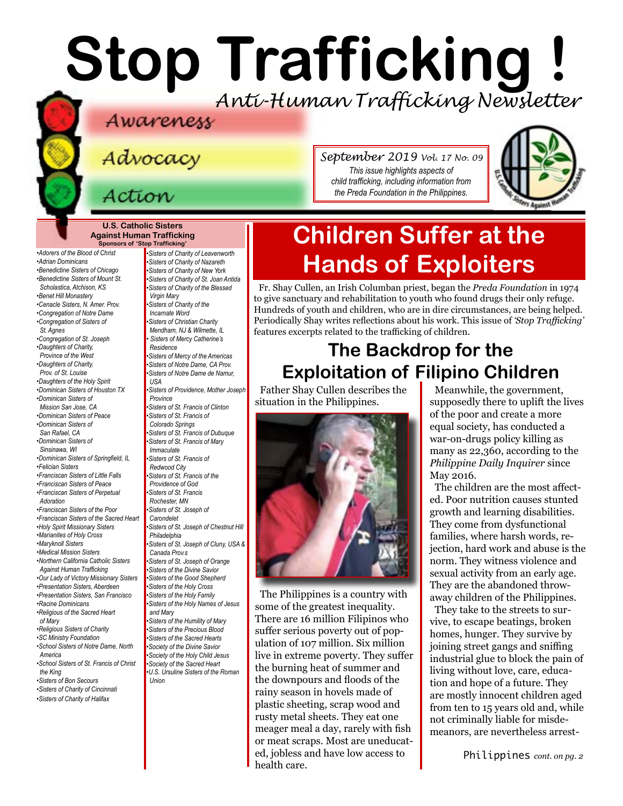# **Stop Trafficking !** *Anti-Human Trafficking Newsletter*

Advocacy

*September 2019 Vol. 17 No. 09 This issue highlights aspects of child trafficking, including information from the Preda Foundation in the Philippines.*



**U.S. Catholic Sisters Against Human Trafficking Sponsors of 'Stop Trafficking'**

*•Adorers of the Blood of Christ •Adrian Dominicans •Benedictine Sisters of Chicago •Benedictine Sisters of Mount St. Scholastica, Atchison, KS •[Benet Hill Monastery](https://benethillmonastery.org) •Cenacle Sisters, N. Amer. Prov. •Congregation of Notre Dame •Congregation of Sisters of St. Agnes •[Congregation of St. Joseph](http://www.scjoseph.org) •Daughters of Charity, Province of the West •Daughters of Charity, Prov. of St. Louise •[Daughters of the Holy Spirit](http://www.daughtersoftheholyspirit.org/) •[Dominican Sisters of Houston TX](https://domhou.org/) •Dominican Sisters of Mission San Jose, CA •Dominican Sisters of Peace •Dominican Sisters of San Rafael, CA •Dominican Sisters of Sinsinawa, WI •[Dominican Sisters of Springfield, IL](http://springfieldop.org/) •Felician Sisters •Franciscan Sisters of Little Falls •Franciscan Sisters of Peace [•Franciscan Sisters of Perpetual](http://franciscansisters-en.sfp-poor.org/areas/u-s-a-tag.html)  [Adoration](http://franciscansisters-en.sfp-poor.org/areas/u-s-a-tag.html) •[Franciscan Sisters of the Poor](http://franciscansisters-en.sfp-poor.org/areas/u-s-a-tag.html) •[Franciscan Sisters of the Sacred Heart](http://www.fssh.com) •[Holy Spirit Missionary Sisters](http://www.ssps-usa.org) •Marianites of Holy Cross •[Maryknoll Sisters](https://www.maryknollsisters.org/) •[Medical Mission Sisters](http://www.medicalmissionsisters.org/) •Northern California Catholic Sisters Against Human Trafficking •Our Lady of Victory Missionary Sisters •[Presentation Sisters, Aberdeen](https://www.presentationsisters.org) •Presentation Sisters, San Francisco •[Racine Dominicans](https://www.racinedominicans.org) •Religious of the Sacred Heart of Mary •Religious Sisters of Charity [•SC Ministry Foundation](http://www.scministryfdn.org) •School Sisters of Notre Dame, North America •School Sisters of St. Francis of Christ the King [•Sisters of B](http://bonsecours.org)on Secours •Sisters of Charity of Cincinnati*

*•Sisters of Charity of Halifax*

*•Sisters of Charity of St. Joan Antida •[Sisters of Charity of the Blessed](http://www.bvmcong.org/)  [Virgin Mary](http://www.bvmcong.org/) •[Sisters of Charity of the](http://www.sistersofcharity.org/)  [Incarnate Word](http://www.sistersofcharity.org/) •Sisters of Christian Charity Mendham, NJ & Wilmette, IL • Sisters of Mercy Catherine's Residence •Sisters of Mercy of the Americas •Sisters of Notre Dame, CA Prov. •Sisters of Notre Dame de Namur, USA •[Sisters of Providence, Mother Joseph](http://sistersofprovidence.net/)  [Province](http://sistersofprovidence.net/) •Sisters of St. Francis of Clinton •Sisters of St. Francis of Colorado Springs •Sisters of St. Francis of Dubuque [•Sisters of St. Francis of](http://www.jolietfranciscans.org/) Mary Immaculate •Sisters of St. Francis of Redwood City •Sisters of St. Francis of the Providence of God •[Sisters of St. Francis](https://www.rochesterfranciscan.org/what-we-do/justice-and-peace/human-rights-issues.html)  [Rochester, MN](https://www.rochesterfranciscan.org/what-we-do/justice-and-peace/human-rights-issues.html) •Sisters of St. Joseph of Carondelet •Sisters of St. Joseph of Chestnut Hill Philadelphia •Sisters of St. Joseph of Cluny, USA & Canada Prov.s •Sisters of St. Joseph of Orange •Sisters of the Divine Savior •Sisters of the Good Shepherd •Sisters of the Holy Cross •Sisters of the Holy Family •Sisters of the Holy Names of Jesus and Mary •Sisters of the Humility of Mary •Sisters of the Precious Blood •[Sisters of the Sacred Hearts](http://www.sistersofthesacredhearts.org) [•Society of the Divine Savior](http://www.salvatorians.com) •Society of the Holy Child Jesus [•Society of the](https://rscj.org/) Sacred Heart •[U.S. Ursuline Sisters of the Roman](http://usaromanunionursulines.org/)  [Union](http://usaromanunionursulines.org/)*

*•Sisters of Charity of Leavenworth •Sisters of Charity of Nazareth •Sisters of Charity of New York* 

## **Children Suffer at the Hands of Exploiters**

Fr. Shay Cullen, an Irish Columban priest, began the *Preda Foundation* in 1974 to give sanctuary and rehabilitation to youth who found drugs their only refuge. Hundreds of youth and children, who are in dire circumstances, are being helped. Periodically Shay writes reflections about his work. This issue of *'Stop Trafficking'*  features excerpts related to the trafficking of children.

## **The Backdrop for the Exploitation of Filipino Children**

Father Shay Cullen describes the situation in the Philippines.



The Philippines is a country with some of the greatest inequality. There are 16 million Filipinos who suffer serious poverty out of population of 107 million. Six million live in extreme poverty. They suffer the burning heat of summer and the downpours and floods of the rainy season in hovels made of plastic sheeting, scrap wood and rusty metal sheets. They eat one meager meal a day, rarely with fish or meat scraps. Most are uneducated, jobless and have low access to health care.

Meanwhile, the government, supposedly there to uplift the lives of the poor and create a more equal society, has conducted a war-on-drugs policy killing as many as 22,360, according to the *Philippine Daily Inquirer* since May 2016.

The children are the most affected. Poor nutrition causes stunted growth and learning disabilities. They come from dysfunctional families, where harsh words, rejection, hard work and abuse is the norm. They witness violence and sexual activity from an early age. They are the abandoned throwaway children of the Philippines.

They take to the streets to survive, to escape beatings, broken homes, hunger. They survive by joining street gangs and sniffing industrial glue to block the pain of living without love, care, education and hope of a future. They are mostly innocent children aged from ten to 15 years old and, while not criminally liable for misdemeanors, are nevertheless arrest-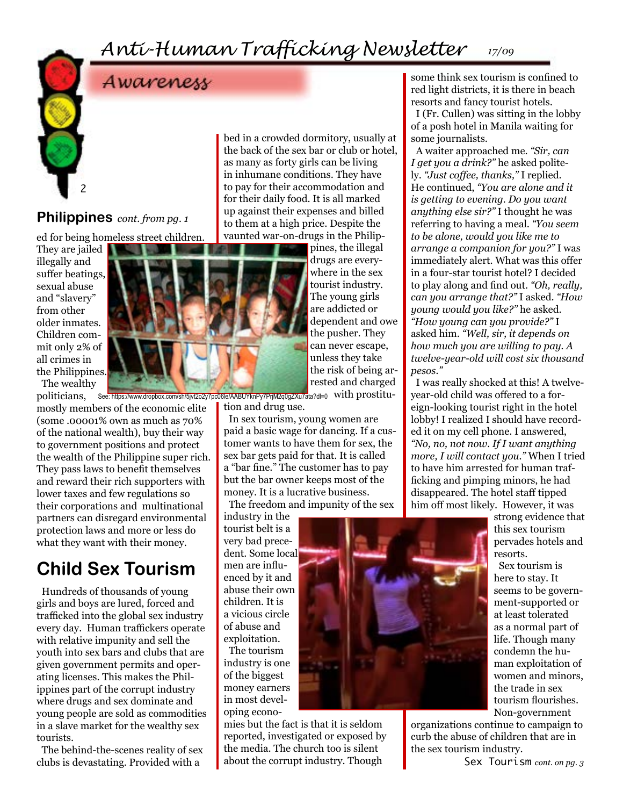## *Anti-Human Trafficking Newsletter 17/09*



## Awareness

### **Philippines** *cont. from pg. 1*

ed for being homeless street children.

They are jailed illegally and suffer beatings, sexual abuse and "slavery" from other older inmates. Children commit only 2% of all crimes in the Philippines. The wealthy

politicians, mostly members of the economic elite (some .00001% own as much as 70% of the national wealth), buy their way to government positions and protect the wealth of the Philippine super rich. They pass laws to benefit themselves and reward their rich supporters with lower taxes and few regulations so their corporations and multinational partners can disregard environmental protection laws and more or less do what they want with their money.

## **Child Sex Tourism**

Hundreds of thousands of young girls and boys are lured, forced and trafficked into the global sex industry every day. Human traffickers operate with relative impunity and sell the youth into sex bars and clubs that are given government permits and operating licenses. This makes the Philippines part of the corrupt industry where drugs and sex dominate and young people are sold as commodities in a slave market for the wealthy sex tourists.

The behind-the-scenes reality of sex clubs is devastating. Provided with a

bed in a crowded dormitory, usually at the back of the sex bar or club or hotel, as many as forty girls can be living in inhumane conditions. They have to pay for their accommodation and for their daily food. It is all marked up against their expenses and billed to them at a high price. Despite the vaunted war-on-drugs in the Philip-

pines, the illegal drugs are everywhere in the sex tourist industry. The young girls are addicted or dependent and owe the pusher. They can never escape, unless they take the risk of being arrested and charged

See: https://www.dropbox.com/sh/5jvt2o2y7pc06le/AABUYknPy7PrjM2q0gZXu7ata?dl=0 with prostitution and drug use.

In sex tourism, young women are paid a basic wage for dancing. If a customer wants to have them for sex, the sex bar gets paid for that. It is called a "bar fine." The customer has to pay but the bar owner keeps most of the money. It is a lucrative business.

The freedom and impunity of the sex

industry in the tourist belt is a very bad precedent. Some local men are influenced by it and abuse their own children. It is a vicious circle of abuse and exploitation.

The tourism industry is one of the biggest money earners in most developing econo-

mies but the fact is that it is seldom reported, investigated or exposed by the media. The church too is silent about the corrupt industry. Though

some think sex tourism is confined to red light districts, it is there in beach resorts and fancy tourist hotels. I (Fr. Cullen) was sitting in the lobby of a posh hotel in Manila waiting for some journalists.

A waiter approached me. *"Sir, can I get you a drink?"* he asked politely. *"Just coffee, thanks,"* I replied. He continued, *"You are alone and it is getting to evening. Do you want anything else sir?"* I thought he was referring to having a meal. *"You seem to be alone, would you like me to arrange a companion for you?"* I was immediately alert. What was this offer in a four-star tourist hotel? I decided to play along and find out. *"Oh, really, can you arrange that?"* I asked. *"How young would you like?"* he asked. *"How young can you provide?"* I asked him. *"Well, sir, it depends on how much you are willing to pay. A twelve-year-old will cost six thousand pesos."*

I was really shocked at this! A twelveyear-old child was offered to a foreign-looking tourist right in the hotel lobby! I realized I should have recorded it on my cell phone. I answered, *"No, no, not now. If I want anything more, I will contact you."* When I tried to have him arrested for human trafficking and pimping minors, he had disappeared. The hotel staff tipped him off most likely. However, it was

strong evidence that this sex tourism pervades hotels and resorts.

Sex tourism is here to stay. It seems to be government-supported or at least tolerated as a normal part of life. Though many condemn the human exploitation of women and minors, the trade in sex tourism flourishes. Non-government

organizations continue to campaign to curb the abuse of children that are in the sex tourism industry.



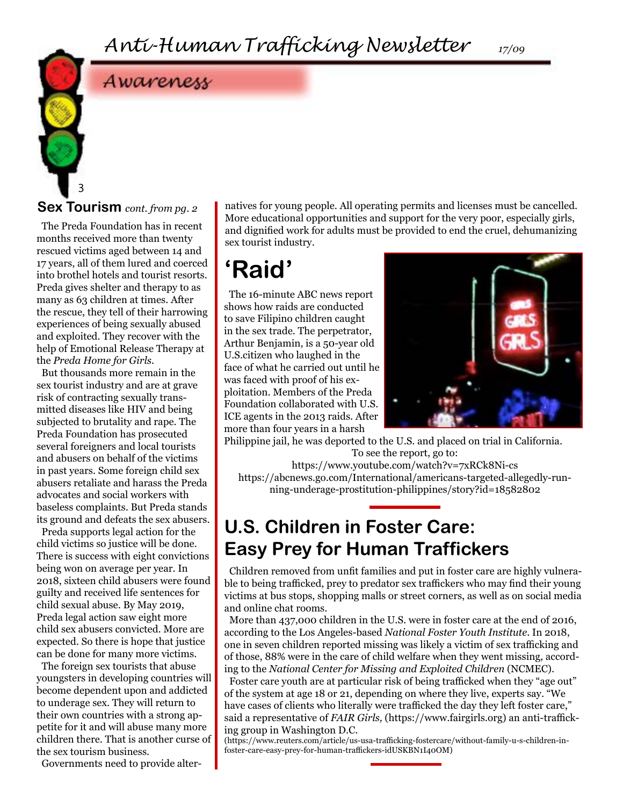## Awareness

3

The Preda Foundation has in recent months received more than twenty rescued victims aged between 14 and 17 years, all of them lured and coerced into brothel hotels and tourist resorts. Preda gives shelter and therapy to as many as 63 children at times. After the rescue, they tell of their harrowing experiences of being sexually abused and exploited. They recover with the help of Emotional Release Therapy at the *Preda Home for Girls.*

But thousands more remain in the sex tourist industry and are at grave risk of contracting sexually transmitted diseases like HIV and being subjected to brutality and rape. The Preda Foundation has prosecuted several foreigners and local tourists and abusers on behalf of the victims in past years. Some foreign child sex abusers retaliate and harass the Preda advocates and social workers with baseless complaints. But Preda stands its ground and defeats the sex abusers.

Preda supports legal action for the child victims so justice will be done. There is success with eight convictions being won on average per year. In 2018, sixteen child abusers were found guilty and received life sentences for child sexual abuse. By May 2019, Preda legal action saw eight more child sex abusers convicted. More are expected. So there is hope that justice can be done for many more victims.

The foreign sex tourists that abuse youngsters in developing countries will become dependent upon and addicted to underage sex. They will return to their own countries with a strong appetite for it and will abuse many more children there. That is another curse of the sex tourism business.

Governments need to provide alter-

**Sex Tourism** *cont. from pg. 2* natives for young people. All operating permits and licenses must be cancelled. More educational opportunities and support for the very poor, especially girls, and dignified work for adults must be provided to end the cruel, dehumanizing sex tourist industry.

## **'Raid'**

The 16-minute ABC news report shows how raids are conducted to save Filipino children caught in the sex trade. The perpetrator, Arthur Benjamin, is a 50-year old U.S.citizen who laughed in the face of what he carried out until he was faced with proof of his exploitation. Members of the Preda Foundation collaborated with U.S. ICE agents in the 2013 raids. After more than four years in a harsh



Philippine jail, he was deported to the U.S. and placed on trial in California. To see the report, go to:

https://www.youtube.com/watch?v=7xRCk8Ni-cs https://abcnews.go.com/International/americans-targeted-allegedly-running-underage-prostitution-philippines/story?id=18582802

## **U.S. Children in Foster Care: Easy Prey for Human Traffickers**

Children removed from unfit families and put in foster care are highly vulnerable to being trafficked, prey to predator sex traffickers who may find their young victims at bus stops, shopping malls or street corners, as well as on social media and online chat rooms.

More than 437,000 children in the U.S. were in foster care at the end of 2016, according to the Los Angeles-based *National Foster Youth Institute*. In 2018, one in seven children reported missing was likely a victim of sex trafficking and of those, 88% were in the care of child welfare when they went missing, according to the *National Center for Missing and Exploited Children* (NCMEC).

Foster care youth are at particular risk of being trafficked when they "age out" of the system at age 18 or 21, depending on where they live, experts say. "We have cases of clients who literally were trafficked the day they left foster care," said a representative of *FAIR Girls,* (https://www.fairgirls.org) an anti-trafficking group in Washington D.C.

(https://www.reuters.com/article/us-usa-trafficking-fostercare/without-family-u-s-children-infoster-care-easy-prey-for-human-traffickers-idUSKBN1I40OM)

*17/09*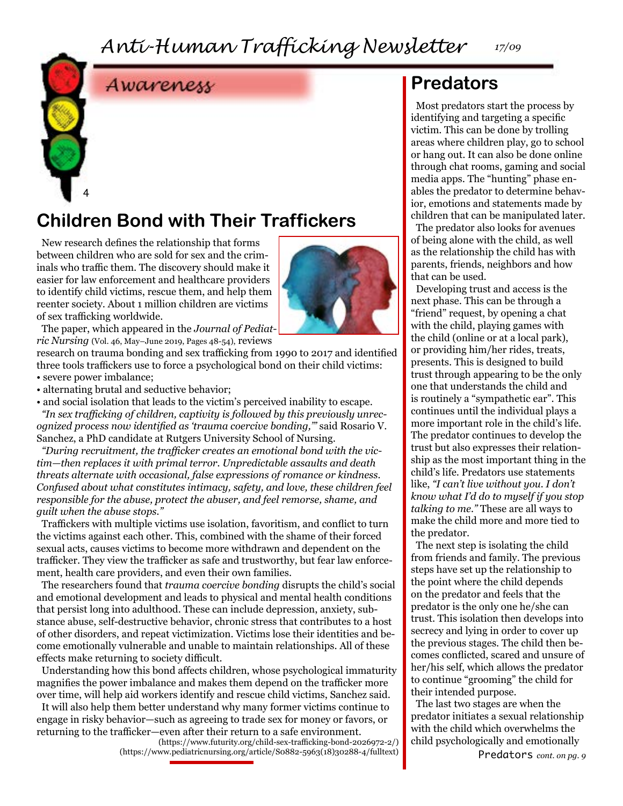*Anti-Human Trafficking Newsletter*

*17/09*



## Awareness

## **Children Bond with Their Traffickers**

New research defines the relationship that forms between children who are sold for sex and the criminals who traffic them. The discovery should make it easier for law enforcement and healthcare providers to identify child victims, rescue them, and help them reenter society. About 1 million children are victims of sex trafficking worldwide.



The paper, which appeared in the *Journal of Pediatric Nursing* (Vol. 46, May–June 2019, Pages 48-54), reviews

research on trauma bonding and sex trafficking from 1990 to 2017 and identified three tools traffickers use to force a psychological bond on their child victims: • severe power imbalance;

• alternating brutal and seductive behavior;

• and social isolation that leads to the victim's perceived inability to escape.

*"In sex trafficking of children, captivity is followed by this previously unrecognized process now identified as 'trauma coercive bonding,'"* said Rosario V. Sanchez, a PhD candidate at Rutgers University School of Nursing.

*"During recruitment, the trafficker creates an emotional bond with the victim—then replaces it with primal terror. Unpredictable assaults and death threats alternate with occasional, false expressions of romance or kindness. Confused about what constitutes intimacy, safety, and love, these children feel responsible for the abuse, protect the abuser, and feel remorse, shame, and guilt when the abuse stops."*

Traffickers with multiple victims use isolation, favoritism, and conflict to turn the victims against each other. This, combined with the shame of their forced sexual acts, causes victims to become more withdrawn and dependent on the trafficker. They view the trafficker as safe and trustworthy, but fear law enforcement, health care providers, and even their own families.

The researchers found that *trauma coercive bonding* disrupts the child's social and emotional development and leads to physical and mental health conditions that persist long into adulthood. These can include depression, anxiety, substance abuse, self-destructive behavior, chronic stress that contributes to a host of other disorders, and repeat victimization. Victims lose their identities and become emotionally vulnerable and unable to maintain relationships. All of these effects make returning to society difficult.

Understanding how this bond affects children, whose psychological immaturity magnifies the power imbalance and makes them depend on the trafficker more over time, will help aid workers identify and rescue child victims, Sanchez said.

It will also help them better understand why many former victims continue to engage in risky behavior—such as agreeing to trade sex for money or favors, or returning to the trafficker—even after their return to a safe environment.

(https://www.futurity.org/child-sex-trafficking-bond-2026972-2/) (https://www.pediatricnursing.org/article/S0882-5963(18)30288-4/fulltext)

### **Predators**

Most predators start the process by identifying and targeting a specific victim. This can be done by trolling areas where children play, go to school or hang out. It can also be done online through chat rooms, gaming and social media apps. The "hunting" phase enables the predator to determine behavior, emotions and statements made by children that can be manipulated later.

The predator also looks for avenues of being alone with the child, as well as the relationship the child has with parents, friends, neighbors and how that can be used.

Developing trust and access is the next phase. This can be through a "friend" request, by opening a chat with the child, playing games with the child (online or at a local park), or providing him/her rides, treats, presents. This is designed to build trust through appearing to be the only one that understands the child and is routinely a "sympathetic ear". This continues until the individual plays a more important role in the child's life. The predator continues to develop the trust but also expresses their relationship as the most important thing in the child's life. Predators use statements like, *"I can't live without you. I don't know what I'd do to myself if you stop talking to me."* These are all ways to make the child more and more tied to the predator.

The next step is isolating the child from friends and family. The previous steps have set up the relationship to the point where the child depends on the predator and feels that the predator is the only one he/she can trust. This isolation then develops into secrecy and lying in order to cover up the previous stages. The child then becomes conflicted, scared and unsure of her/his self, which allows the predator to continue "grooming" the child for their intended purpose.

The last two stages are when the predator initiates a sexual relationship with the child which overwhelms the child psychologically and emotionally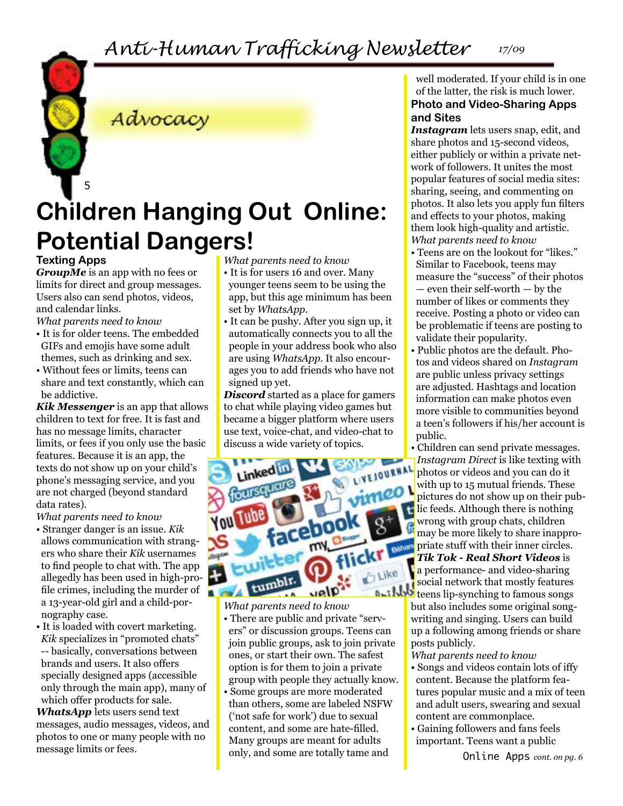*Anti-Human Trafficking Newsletter 17/09*

### Advocacy

# **Children Hanging Out Online: Potential Dangers!**

#### **Texting Apps**

5

*GroupMe* is an app with no fees or limits for direct and group messages. Users also can send photos, videos, and calendar links.

*What parents need to know*

- It is for older teens. The embedded GIFs and emojis have some adult themes, such as drinking and sex.
- Without fees or limits, teens can share and text constantly, which can be addictive.

*Kik Messenger* is an app that allows children to text for free. It is fast and has no message limits, character limits, or fees if you only use the basic features. Because it is an app, the texts do not show up on your child's phone's messaging service, and you are not charged (beyond standard data rates).

*What parents need to know*

- Stranger danger is an issue. *Kik* allows communication with strangers who share their *Kik* usernames to find people to chat with. The app allegedly has been used in high-profile crimes, including the murder of a 13-year-old girl and a child-pornography case.
- It is loaded with covert marketing. *Kik* specializes in "promoted chats" -- basically, conversations between brands and users. It also offers specially designed apps (accessible only through the main app), many of which offer products for sale.

*WhatsApp* lets users send text messages, audio messages, videos, and photos to one or many people with no message limits or fees.

- *What parents need to know*
- It is for users 16 and over. Many younger teens seem to be using the app, but this age minimum has been set by *WhatsApp.*
- It can be pushy. After you sign up, it automatically connects you to all the people in your address book who also are using *WhatsApp.* It also encourages you to add friends who have not signed up yet.

*Discord* started as a place for gamers to chat while playing video games but became a bigger platform where users use text, voice-chat, and video-chat to discuss a wide variety of topics.



*What parents need to know*

- There are public and private "servers" or discussion groups. Teens can join public groups, ask to join private ones, or start their own. The safest option is for them to join a private group with people they actually know.
- Some groups are more moderated than others, some are labeled NSFW ('not safe for work') due to sexual content, and some are hate-filled. Many groups are meant for adults only, and some are totally tame and

well moderated. If your child is in one of the latter, the risk is much lower. **Photo and Video-Sharing Apps and Sites**

*Instagram* lets users snap, edit, and share photos and 15-second videos, either publicly or within a private network of followers. It unites the most popular features of social media sites: sharing, seeing, and commenting on photos. It also lets you apply fun filters and effects to your photos, making them look high-quality and artistic. *What parents need to know*

- Teens are on the lookout for "likes." Similar to Facebook, teens may measure the "success" of their photos — even their self-worth — by the number of likes or comments they receive. Posting a photo or video can be problematic if teens are posting to validate their popularity.
- Public photos are the default. Photos and videos shared on *Instagram* are public unless privacy settings are adjusted. Hashtags and location information can make photos even more visible to communities beyond a teen's followers if his/her account is public.
- Children can send private messages. *Instagram Direct* is like texting with photos or videos and you can do it with up to 15 mutual friends. These pictures do not show up on their pub- $\mathbf{I}$ lic feeds. Although there is nothing wrong with group chats, children may be more likely to share inappropriate stuff with their inner circles. *Tik Tok - Real Short Videos* is a performance- and video-sharing social network that mostly features **a**t the teens lip-synching to famous songs but also includes some original songwriting and singing. Users can build up a following among friends or share

posts publicly. *What parents need to know*

- Songs and videos contain lots of iffy content. Because the platform features popular music and a mix of teen and adult users, swearing and sexual content are commonplace.
- Gaining followers and fans feels important. Teens want a public

Online Apps *cont. on pg. 6*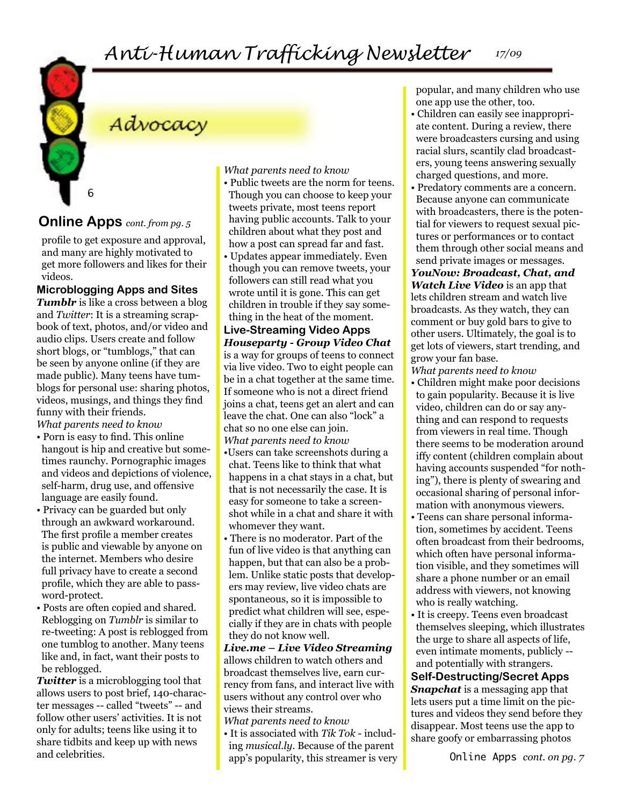## Advocacy

#### **Online Apps** *cont. from pg. 5*

6

profile to get exposure and approval, and many are highly motivated to get more followers and likes for their videos.

#### **Microblogging Apps and Sites**

**Tumblr** is like a cross between a blog and *Twitter*: It is a streaming scrapbook of text, photos, and/or video and audio clips. Users create and follow short blogs, or "tumblogs," that can be seen by anyone online (if they are made public). Many teens have tumblogs for personal use: sharing photos, videos, musings, and things they find funny with their friends.

*What parents need to know*

- Porn is easy to find. This online hangout is hip and creative but sometimes raunchy. Pornographic images and videos and depictions of violence, self-harm, drug use, and offensive language are easily found.
- Privacy can be guarded but only through an awkward workaround. The first profile a member creates is public and viewable by anyone on the internet. Members who desire full privacy have to create a second profile, which they are able to password-protect.
- Posts are often copied and shared. Reblogging on *Tumblr* is similar to re-tweeting: A post is reblogged from one tumblog to another. Many teens like and, in fact, want their posts to be reblogged.

*Twitter* is a microblogging tool that allows users to post brief, 140-character messages -- called "tweets" -- and follow other users' activities. It is not only for adults; teens like using it to share tidbits and keep up with news and celebrities.

*What parents need to know*

- Public tweets are the norm for teens. Though you can choose to keep your tweets private, most teens report having public accounts. Talk to your children about what they post and how a post can spread far and fast.
- Updates appear immediately. Even though you can remove tweets, your followers can still read what you wrote until it is gone. This can get children in trouble if they say something in the heat of the moment.

**Live-Streaming Video Apps** *Houseparty - Group Video Chat*  is a way for groups of teens to connect via live video. Two to eight people can be in a chat together at the same time. If someone who is not a direct friend joins a chat, teens get an alert and can leave the chat. One can also "lock" a chat so no one else can join. *What parents need to know*

- •Users can take screenshots during a chat. Teens like to think that what happens in a chat stays in a chat, but that is not necessarily the case. It is easy for someone to take a screenshot while in a chat and share it with whomever they want.
- There is no moderator. Part of the fun of live video is that anything can happen, but that can also be a problem. Unlike static posts that developers may review, live video chats are spontaneous, so it is impossible to predict what children will see, especially if they are in chats with people they do not know well.

*Live.me – Live Video Streaming*  allows children to watch others and broadcast themselves live, earn currency from fans, and interact live with users without any control over who views their streams.

*What parents need to know* • It is associated with *Tik Tok* - including *musical.ly*. Because of the parent app's popularity, this streamer is very popular, and many children who use one app use the other, too.

- Children can easily see inappropriate content. During a review, there were broadcasters cursing and using racial slurs, scantily clad broadcasters, young teens answering sexually charged questions, and more.
- Predatory comments are a concern. Because anyone can communicate with broadcasters, there is the potential for viewers to request sexual pictures or performances or to contact them through other social means and send private images or messages.

*YouNow: Broadcast, Chat, and Watch Live Video* is an app that lets children stream and watch live broadcasts. As they watch, they can comment or buy gold bars to give to other users. Ultimately, the goal is to get lots of viewers, start trending, and grow your fan base.

- *What parents need to know* • Children might make poor decisions to gain popularity. Because it is live video, children can do or say anything and can respond to requests from viewers in real time. Though there seems to be moderation around iffy content (children complain about having accounts suspended "for nothing"), there is plenty of swearing and occasional sharing of personal information with anonymous viewers.
- Teens can share personal information, sometimes by accident. Teens often broadcast from their bedrooms, which often have personal information visible, and they sometimes will share a phone number or an email address with viewers, not knowing who is really watching.
- It is creepy. Teens even broadcast themselves sleeping, which illustrates the urge to share all aspects of life, even intimate moments, publicly - and potentially with strangers.

#### **Self-Destructing/Secret Apps** *Snapchat* is a messaging app that lets users put a time limit on the pictures and videos they send before they disappear. Most teens use the app to share goofy or embarrassing photos

Online Apps *cont. on pg. 7*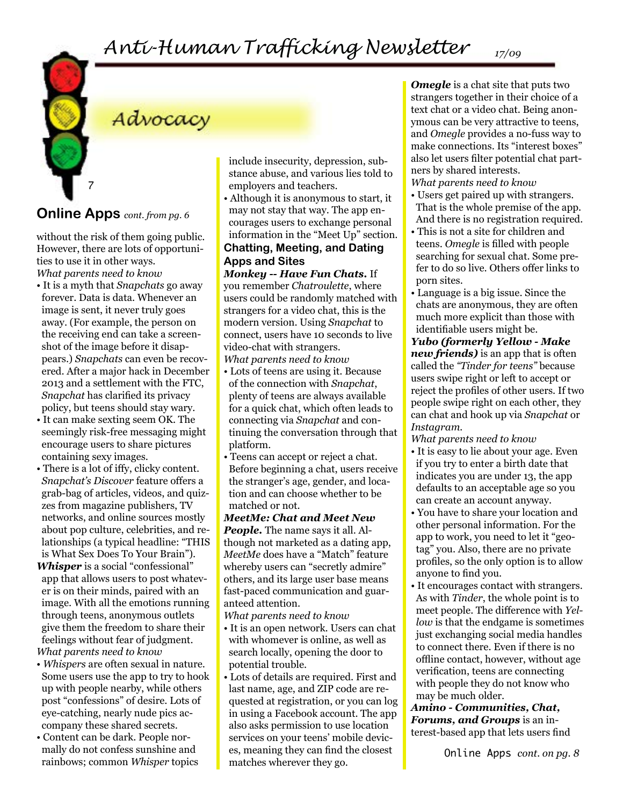## Advocacy

#### **Online Apps** *cont. from pg. 6*

7

without the risk of them going public. However, there are lots of opportunities to use it in other ways. *What parents need to know*

- It is a myth that *Snapchats* go away forever. Data is data. Whenever an image is sent, it never truly goes away. (For example, the person on the receiving end can take a screenshot of the image before it disappears.) *Snapchats* can even be recovered. After a major hack in December 2013 and a settlement with the FTC, *Snapchat* has clarified its privacy policy, but teens should stay wary.
- It can make sexting seem OK. The seemingly risk-free messaging might encourage users to share pictures containing sexy images.
- There is a lot of iffy, clicky content. *Snapchat's Discover* feature offers a grab-bag of articles, videos, and quizzes from magazine publishers, TV networks, and online sources mostly about pop culture, celebrities, and relationships (a typical headline: "THIS is What Sex Does To Your Brain").
- *Whisper* is a social "confessional" app that allows users to post whatever is on their minds, paired with an image. With all the emotions running through teens, anonymous outlets give them the freedom to share their feelings without fear of judgment. *What parents need to know*
- *Whispers* are often sexual in nature. Some users use the app to try to hook up with people nearby, while others post "confessions" of desire. Lots of eye-catching, nearly nude pics accompany these shared secrets.
- Content can be dark. People normally do not confess sunshine and rainbows; common *Whisper* topics

include insecurity, depression, substance abuse, and various lies told to employers and teachers.

• Although it is anonymous to start, it may not stay that way. The app encourages users to exchange personal information in the "Meet Up" section.

#### **Chatting, Meeting, and Dating Apps and Sites**

*Monkey -- Have Fun Chats.* If you remember *Chatroulette*, where users could be randomly matched with strangers for a video chat, this is the modern version. Using *Snapchat* to connect, users have 10 seconds to live video-chat with strangers. *What parents need to know*

- Lots of teens are using it. Because of the connection with *Snapchat*, plenty of teens are always available for a quick chat, which often leads to connecting via *Snapchat* and continuing the conversation through that platform.
- Teens can accept or reject a chat. Before beginning a chat, users receive the stranger's age, gender, and location and can choose whether to be matched or not.

*MeetMe: Chat and Meet New People.* The name says it all. Although not marketed as a dating app, *MeetMe* does have a "Match" feature whereby users can "secretly admire" others, and its large user base means fast-paced communication and guaranteed attention.

*What parents need to know*

- It is an open network. Users can chat with whomever is online, as well as search locally, opening the door to potential trouble.
- Lots of details are required. First and last name, age, and ZIP code are requested at registration, or you can log in using a Facebook account. The app also asks permission to use location services on your teens' mobile devices, meaning they can find the closest matches wherever they go.

*Omegle* is a chat site that puts two strangers together in their choice of a text chat or a video chat. Being anonymous can be very attractive to teens, and *Omegle* provides a no-fuss way to make connections. Its "interest boxes" also let users filter potential chat partners by shared interests. *What parents need to know*

- Users get paired up with strangers. That is the whole premise of the app. And there is no registration required.
- This is not a site for children and teens. *Omegle* is filled with people searching for sexual chat. Some prefer to do so live. Others offer links to porn sites.
- Language is a big issue. Since the chats are anonymous, they are often much more explicit than those with identifiable users might be.
- *Yubo (formerly Yellow Make new friends)* is an app that is often called the *"Tinder for teens"* because users swipe right or left to accept or reject the profiles of other users. If two people swipe right on each other, they can chat and hook up via *Snapchat* or *Instagram.*

*What parents need to know*

- It is easy to lie about your age. Even if you try to enter a birth date that indicates you are under 13, the app defaults to an acceptable age so you can create an account anyway.
- You have to share your location and other personal information. For the app to work, you need to let it "geotag" you. Also, there are no private profiles, so the only option is to allow anyone to find you.
- It encourages contact with strangers. As with *Tinder*, the whole point is to meet people. The difference with *Yellow* is that the endgame is sometimes just exchanging social media handles to connect there. Even if there is no offline contact, however, without age verification, teens are connecting with people they do not know who may be much older.

*Amino - Communities, Chat, Forums, and Groups* is an interest-based app that lets users find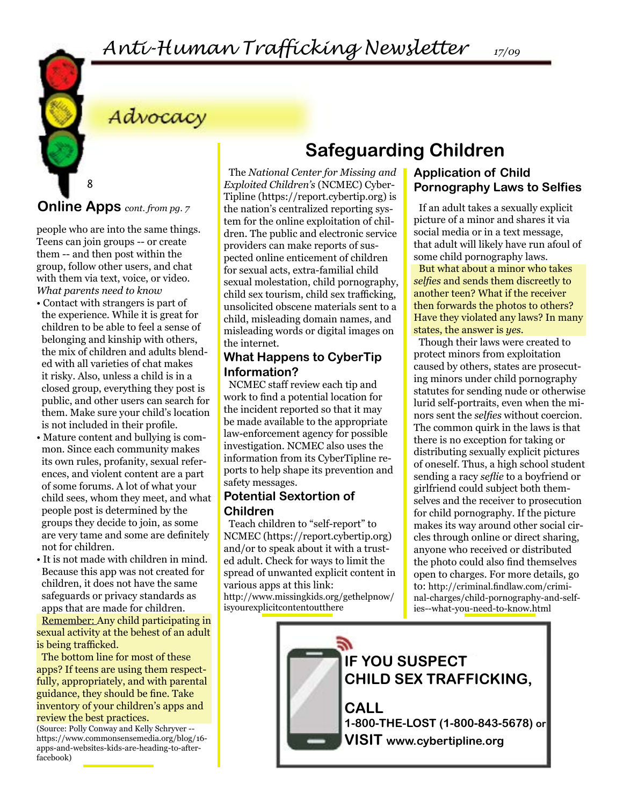## Advocacy

**Online Apps** *cont. from pg. 7*

8

people who are into the same things. Teens can join groups -- or create them -- and then post within the group, follow other users, and chat with them via text, voice, or video. *What parents need to know*

- Contact with strangers is part of the experience. While it is great for children to be able to feel a sense of belonging and kinship with others, the mix of children and adults blended with all varieties of chat makes it risky. Also, unless a child is in a closed group, everything they post is public, and other users can search for them. Make sure your child's location is not included in their profile.
- Mature content and bullying is common. Since each community makes its own rules, profanity, sexual references, and violent content are a part of some forums. A lot of what your child sees, whom they meet, and what people post is determined by the groups they decide to join, as some are very tame and some are definitely not for children.
- It is not made with children in mind. Because this app was not created for children, it does not have the same safeguards or privacy standards as apps that are made for children.

Remember: Any child participating in sexual activity at the behest of an adult is being trafficked.

The bottom line for most of these apps? If teens are using them respectfully, appropriately, and with parental guidance, they should be fine. Take inventory of your children's apps and review the best practices.

(Source: Polly Conway and Kelly Schryver - https://www.commonsensemedia.org/blog/16 apps-and-websites-kids-are-heading-to-afterfacebook)

The *National Center for Missing and Exploited Children's* (NCMEC) Cyber-Tipline (https://report.cybertip.org) is the nation's centralized reporting system for the online exploitation of children. The public and electronic service providers can make reports of suspected online enticement of children for sexual acts, extra-familial child sexual molestation, child pornography, child sex tourism, child sex trafficking, unsolicited obscene materials sent to a child, misleading domain names, and misleading words or digital images on the internet.

#### **What Happens to CyberTip Information?**

NCMEC staff review each tip and work to find a potential location for the incident reported so that it may be made available to the appropriate law-enforcement agency for possible investigation. NCMEC also uses the information from its CyberTipline reports to help shape its prevention and safety messages.

#### **Potential Sextortion of Children**

Teach children to "self-report" to NCMEC (https://report.cybertip.org) and/or to speak about it with a trusted adult. Check for ways to limit the spread of unwanted explicit content in various apps at this link: http://www.missingkids.org/gethelpnow/ isyourexplicitcontentoutthere

## **Safeguarding Children**

#### **Application of Child Pornography Laws to Selfies**

If an adult takes a sexually explicit picture of a minor and shares it via social media or in a text message, that adult will likely have run afoul of some child pornography laws. But what about a minor who takes *selfies* and sends them discreetly to another teen? What if the receiver then forwards the photos to others? Have they violated any laws? In many states, the answer is *yes.*

Though their laws were created to protect minors from exploitation caused by others, states are prosecuting minors under child pornography statutes for sending nude or otherwise lurid self-portraits, even when the minors sent the *selfies* without coercion. The common quirk in the laws is that there is no exception for taking or distributing sexually explicit pictures of oneself. Thus, a high school student sending a racy *seflie* to a boyfriend or girlfriend could subject both themselves and the receiver to prosecution for child pornography. If the picture makes its way around other social circles through online or direct sharing, anyone who received or distributed the photo could also find themselves open to charges. For more details, go to: http://criminal.findlaw.com/criminal-charges/child-pornography-and-selfies--what-you-need-to-know.html

## **IF YOU SUSPECT CHILD SEX TRAFFICKING,**

**CALL 1-800-THE-LOST (1-800-843-5678) or VISIT www.cybertipline.org**